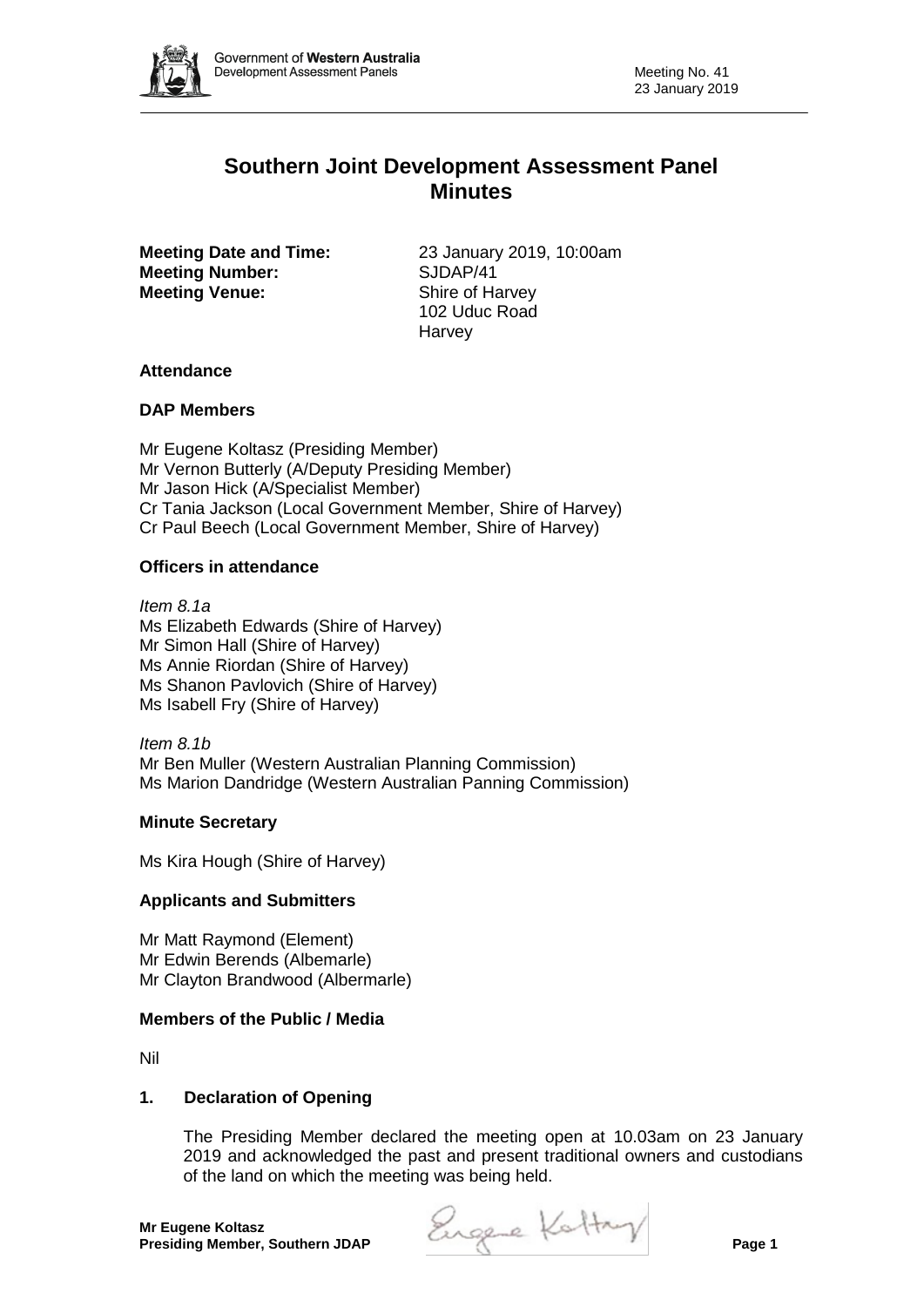

# **Southern Joint Development Assessment Panel Minutes**

**Meeting Number:** SJDAP/41 **Meeting Venue:** Shire of Harvey

**Meeting Date and Time:** 23 January 2019, 10:00am 102 Uduc Road **Harvey** 

## **Attendance**

### **DAP Members**

Mr Eugene Koltasz (Presiding Member) Mr Vernon Butterly (A/Deputy Presiding Member) Mr Jason Hick (A/Specialist Member) Cr Tania Jackson (Local Government Member, Shire of Harvey) Cr Paul Beech (Local Government Member, Shire of Harvey)

### **Officers in attendance**

*Item 8.1a* Ms Elizabeth Edwards (Shire of Harvey) Mr Simon Hall (Shire of Harvey) Ms Annie Riordan (Shire of Harvey) Ms Shanon Pavlovich (Shire of Harvey) Ms Isabell Fry (Shire of Harvey)

*Item 8.1b* Mr Ben Muller (Western Australian Planning Commission) Ms Marion Dandridge (Western Australian Panning Commission)

## **Minute Secretary**

Ms Kira Hough (Shire of Harvey)

### **Applicants and Submitters**

Mr Matt Raymond (Element) Mr Edwin Berends (Albemarle) Mr Clayton Brandwood (Albermarle)

### **Members of the Public / Media**

Nil

### **1. Declaration of Opening**

The Presiding Member declared the meeting open at 10.03am on 23 January 2019 and acknowledged the past and present traditional owners and custodians of the land on which the meeting was being held.

**Presiding Member, Southern JDAP Page 2 Presiding Member, Southern JDAP**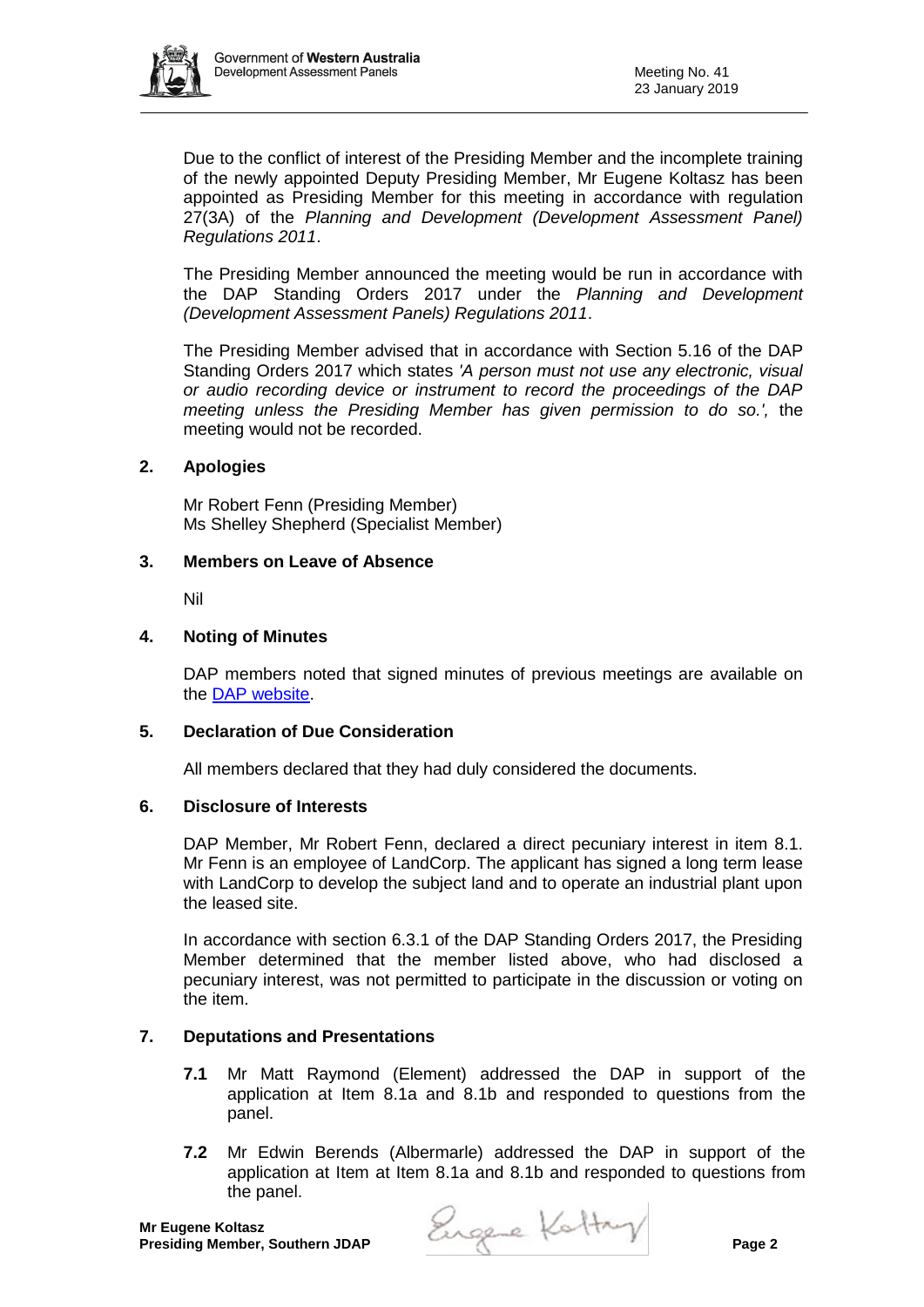

Due to the conflict of interest of the Presiding Member and the incomplete training of the newly appointed Deputy Presiding Member, Mr Eugene Koltasz has been appointed as Presiding Member for this meeting in accordance with regulation 27(3A) of the *Planning and Development (Development Assessment Panel) Regulations 2011*.

The Presiding Member announced the meeting would be run in accordance with the DAP Standing Orders 2017 under the *Planning and Development (Development Assessment Panels) Regulations 2011*.

The Presiding Member advised that in accordance with Section 5.16 of the DAP Standing Orders 2017 which states *'A person must not use any electronic, visual or audio recording device or instrument to record the proceedings of the DAP meeting unless the Presiding Member has given permission to do so.',* the meeting would not be recorded.

### **2. Apologies**

Mr Robert Fenn (Presiding Member) Ms Shelley Shepherd (Specialist Member)

### **3. Members on Leave of Absence**

Nil

## **4. Noting of Minutes**

DAP members noted that signed minutes of previous meetings are available on the [DAP website.](https://www.dplh.wa.gov.au/about/development-assessment-panels/daps-agendas-and-minutes)

## **5. Declaration of Due Consideration**

All members declared that they had duly considered the documents.

### **6. Disclosure of Interests**

DAP Member, Mr Robert Fenn, declared a direct pecuniary interest in item 8.1. Mr Fenn is an employee of LandCorp. The applicant has signed a long term lease with LandCorp to develop the subject land and to operate an industrial plant upon the leased site.

In accordance with section 6.3.1 of the DAP Standing Orders 2017, the Presiding Member determined that the member listed above, who had disclosed a pecuniary interest, was not permitted to participate in the discussion or voting on the item.

### **7. Deputations and Presentations**

- **7.1** Mr Matt Raymond (Element) addressed the DAP in support of the application at Item 8.1a and 8.1b and responded to questions from the panel.
- **7.2** Mr Edwin Berends (Albermarle) addressed the DAP in support of the application at Item at Item 8.1a and 8.1b and responded to questions from the panel.

**Presiding Member, Southern JDAP Page 2**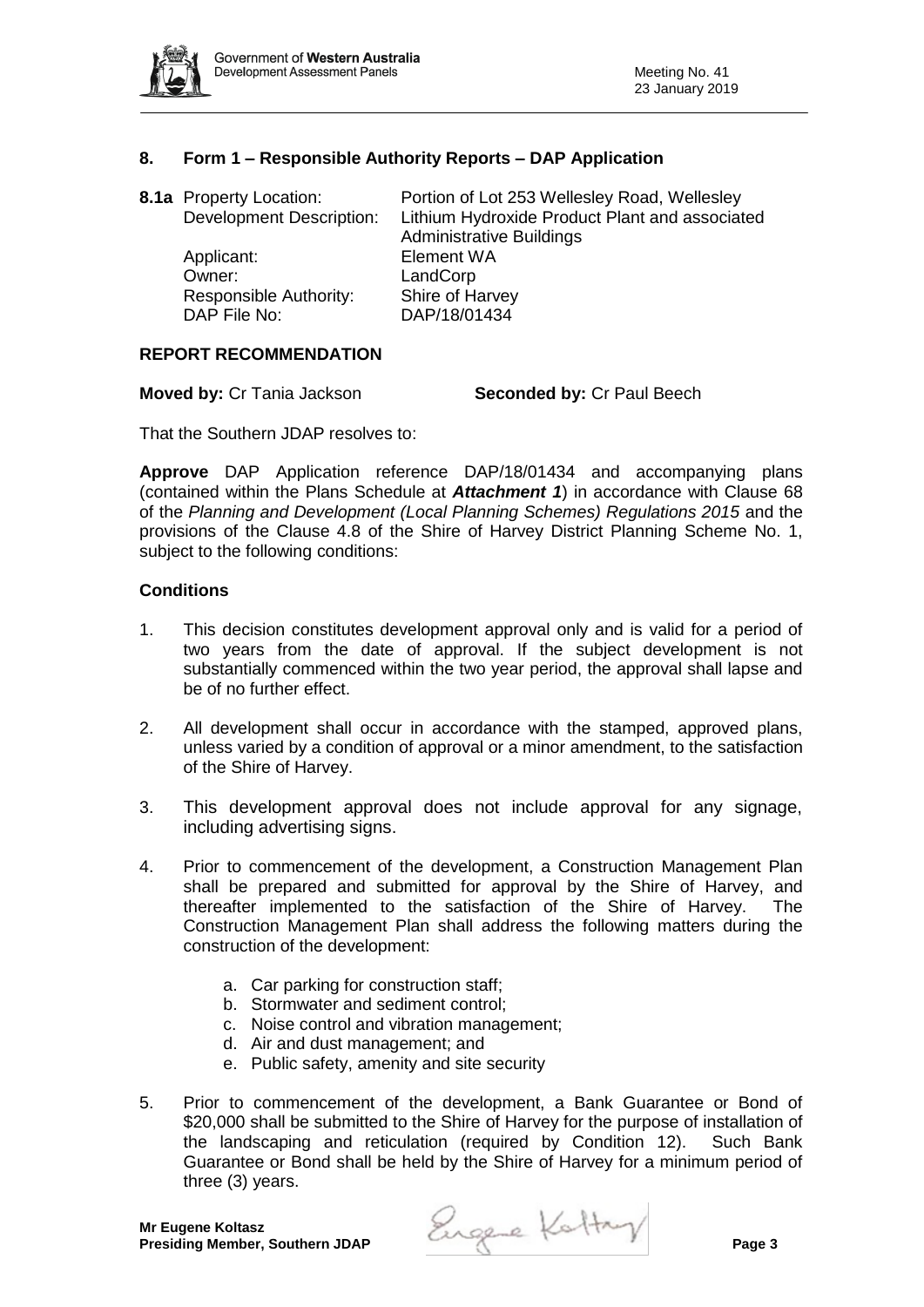

## **8. Form 1 – Responsible Authority Reports – DAP Application**

| <b>8.1a</b> Property Location:<br><b>Development Description:</b> | Portion of Lot 253 Wellesley Road, Wellesley<br>Lithium Hydroxide Product Plant and associated<br><b>Administrative Buildings</b> |
|-------------------------------------------------------------------|-----------------------------------------------------------------------------------------------------------------------------------|
| Applicant:                                                        | <b>Element WA</b>                                                                                                                 |
| Owner:                                                            | LandCorp                                                                                                                          |
| Responsible Authority:                                            | Shire of Harvey                                                                                                                   |
| DAP File No:                                                      | DAP/18/01434                                                                                                                      |

### **REPORT RECOMMENDATION**

**Moved by:** Cr Tania Jackson **Seconded by:** Cr Paul Beech

That the Southern JDAP resolves to:

**Approve** DAP Application reference DAP/18/01434 and accompanying plans (contained within the Plans Schedule at *Attachment 1*) in accordance with Clause 68 of the *Planning and Development (Local Planning Schemes) Regulations 2015* and the provisions of the Clause 4.8 of the Shire of Harvey District Planning Scheme No. 1, subject to the following conditions:

#### **Conditions**

- 1. This decision constitutes development approval only and is valid for a period of two years from the date of approval. If the subject development is not substantially commenced within the two year period, the approval shall lapse and be of no further effect.
- 2. All development shall occur in accordance with the stamped, approved plans, unless varied by a condition of approval or a minor amendment, to the satisfaction of the Shire of Harvey.
- 3. This development approval does not include approval for any signage, including advertising signs.
- 4. Prior to commencement of the development, a Construction Management Plan shall be prepared and submitted for approval by the Shire of Harvey, and thereafter implemented to the satisfaction of the Shire of Harvey. The Construction Management Plan shall address the following matters during the construction of the development:
	- a. Car parking for construction staff;
	- b. Stormwater and sediment control;
	- c. Noise control and vibration management;
	- d. Air and dust management; and
	- e. Public safety, amenity and site security
- 5. Prior to commencement of the development, a Bank Guarantee or Bond of \$20,000 shall be submitted to the Shire of Harvey for the purpose of installation of the landscaping and reticulation (required by Condition 12). Such Bank Guarantee or Bond shall be held by the Shire of Harvey for a minimum period of three (3) years.

**Presiding Member, Southern JDAP Page 2 Page 3 Page 3 Page 3**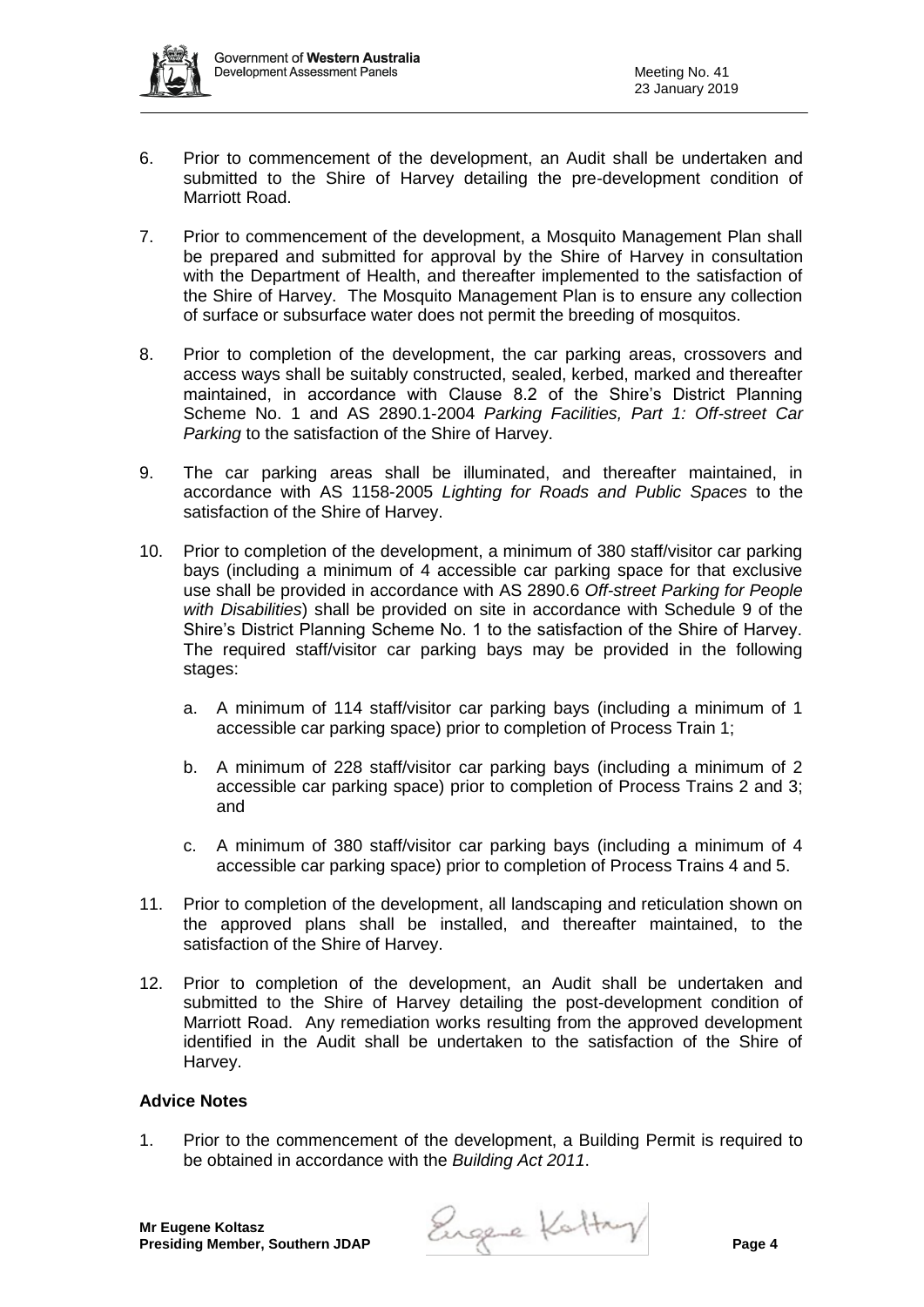

- 6. Prior to commencement of the development, an Audit shall be undertaken and submitted to the Shire of Harvey detailing the pre-development condition of Marriott Road.
- 7. Prior to commencement of the development, a Mosquito Management Plan shall be prepared and submitted for approval by the Shire of Harvey in consultation with the Department of Health, and thereafter implemented to the satisfaction of the Shire of Harvey. The Mosquito Management Plan is to ensure any collection of surface or subsurface water does not permit the breeding of mosquitos.
- 8. Prior to completion of the development, the car parking areas, crossovers and access ways shall be suitably constructed, sealed, kerbed, marked and thereafter maintained, in accordance with Clause 8.2 of the Shire's District Planning Scheme No. 1 and AS 2890.1-2004 *Parking Facilities, Part 1: Off-street Car Parking* to the satisfaction of the Shire of Harvey.
- 9. The car parking areas shall be illuminated, and thereafter maintained, in accordance with AS 1158-2005 *Lighting for Roads and Public Spaces* to the satisfaction of the Shire of Harvey.
- 10. Prior to completion of the development, a minimum of 380 staff/visitor car parking bays (including a minimum of 4 accessible car parking space for that exclusive use shall be provided in accordance with AS 2890.6 *Off-street Parking for People with Disabilities*) shall be provided on site in accordance with Schedule 9 of the Shire's District Planning Scheme No. 1 to the satisfaction of the Shire of Harvey. The required staff/visitor car parking bays may be provided in the following stages:
	- a. A minimum of 114 staff/visitor car parking bays (including a minimum of 1 accessible car parking space) prior to completion of Process Train 1;
	- b. A minimum of 228 staff/visitor car parking bays (including a minimum of 2 accessible car parking space) prior to completion of Process Trains 2 and 3; and
	- c. A minimum of 380 staff/visitor car parking bays (including a minimum of 4 accessible car parking space) prior to completion of Process Trains 4 and 5.
- 11. Prior to completion of the development, all landscaping and reticulation shown on the approved plans shall be installed, and thereafter maintained, to the satisfaction of the Shire of Harvey.
- 12. Prior to completion of the development, an Audit shall be undertaken and submitted to the Shire of Harvey detailing the post-development condition of Marriott Road. Any remediation works resulting from the approved development identified in the Audit shall be undertaken to the satisfaction of the Shire of Harvey.

## **Advice Notes**

1. Prior to the commencement of the development, a Building Permit is required to be obtained in accordance with the *Building Act 2011*.

Engene Kattry Page 4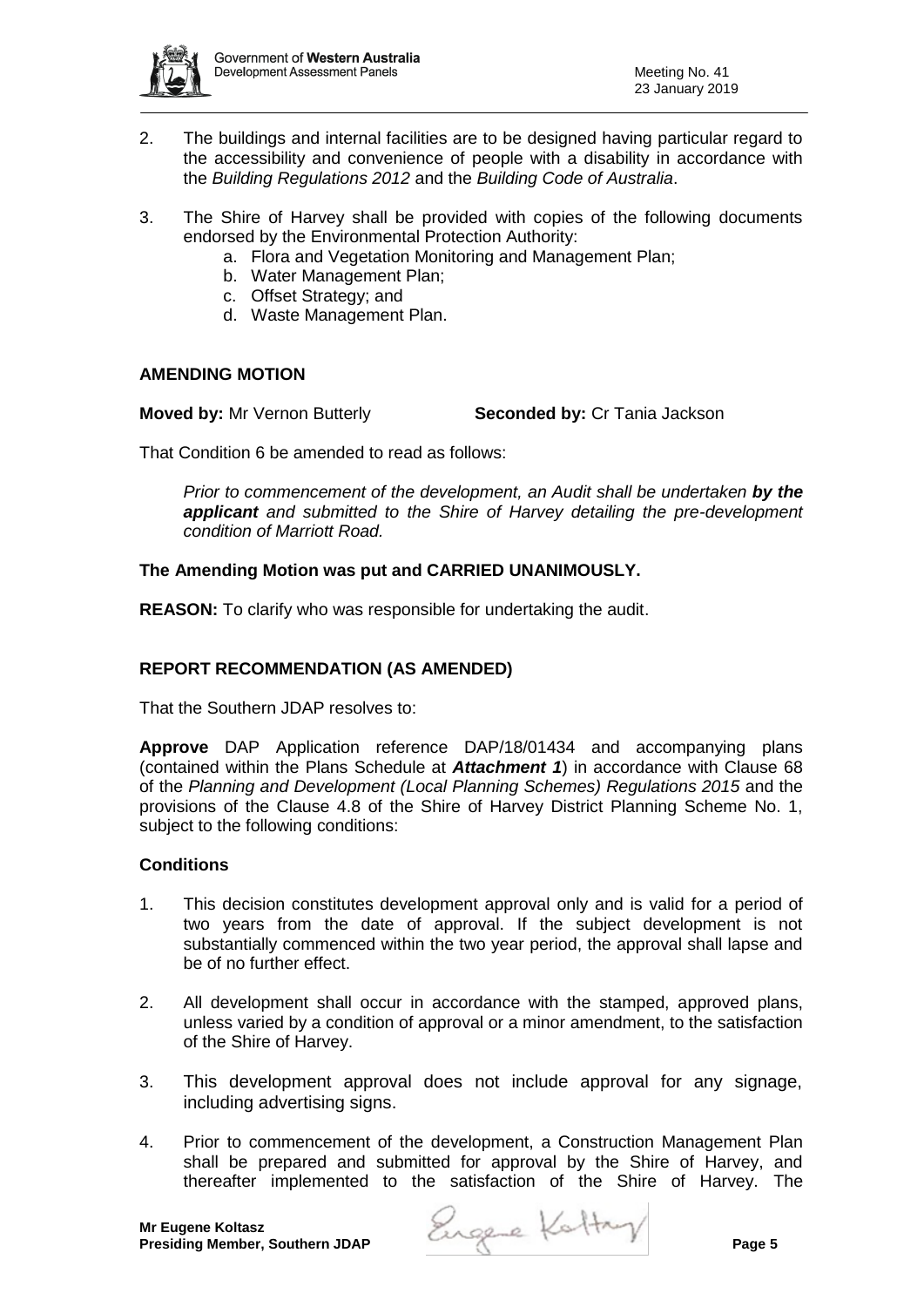

- 2. The buildings and internal facilities are to be designed having particular regard to the accessibility and convenience of people with a disability in accordance with the *Building Regulations 2012* and the *Building Code of Australia*.
- 3. The Shire of Harvey shall be provided with copies of the following documents endorsed by the Environmental Protection Authority:
	- a. Flora and Vegetation Monitoring and Management Plan;
	- b. Water Management Plan;
	- c. Offset Strategy; and
	- d. Waste Management Plan.

## **AMENDING MOTION**

**Moved by:** Mr Vernon Butterly **Seconded by:** Cr Tania Jackson

That Condition 6 be amended to read as follows:

*Prior to commencement of the development, an Audit shall be undertaken by the applicant and submitted to the Shire of Harvey detailing the pre-development condition of Marriott Road.*

## **The Amending Motion was put and CARRIED UNANIMOUSLY.**

**REASON:** To clarify who was responsible for undertaking the audit.

## **REPORT RECOMMENDATION (AS AMENDED)**

That the Southern JDAP resolves to:

**Approve** DAP Application reference DAP/18/01434 and accompanying plans (contained within the Plans Schedule at *Attachment 1*) in accordance with Clause 68 of the *Planning and Development (Local Planning Schemes) Regulations 2015* and the provisions of the Clause 4.8 of the Shire of Harvey District Planning Scheme No. 1, subject to the following conditions:

## **Conditions**

- 1. This decision constitutes development approval only and is valid for a period of two years from the date of approval. If the subject development is not substantially commenced within the two year period, the approval shall lapse and be of no further effect.
- 2. All development shall occur in accordance with the stamped, approved plans, unless varied by a condition of approval or a minor amendment, to the satisfaction of the Shire of Harvey.
- 3. This development approval does not include approval for any signage, including advertising signs.
- 4. Prior to commencement of the development, a Construction Management Plan shall be prepared and submitted for approval by the Shire of Harvey, and thereafter implemented to the satisfaction of the Shire of Harvey. The

**Presiding Member, Southern JDAP Page 2 Page 4 Page 1**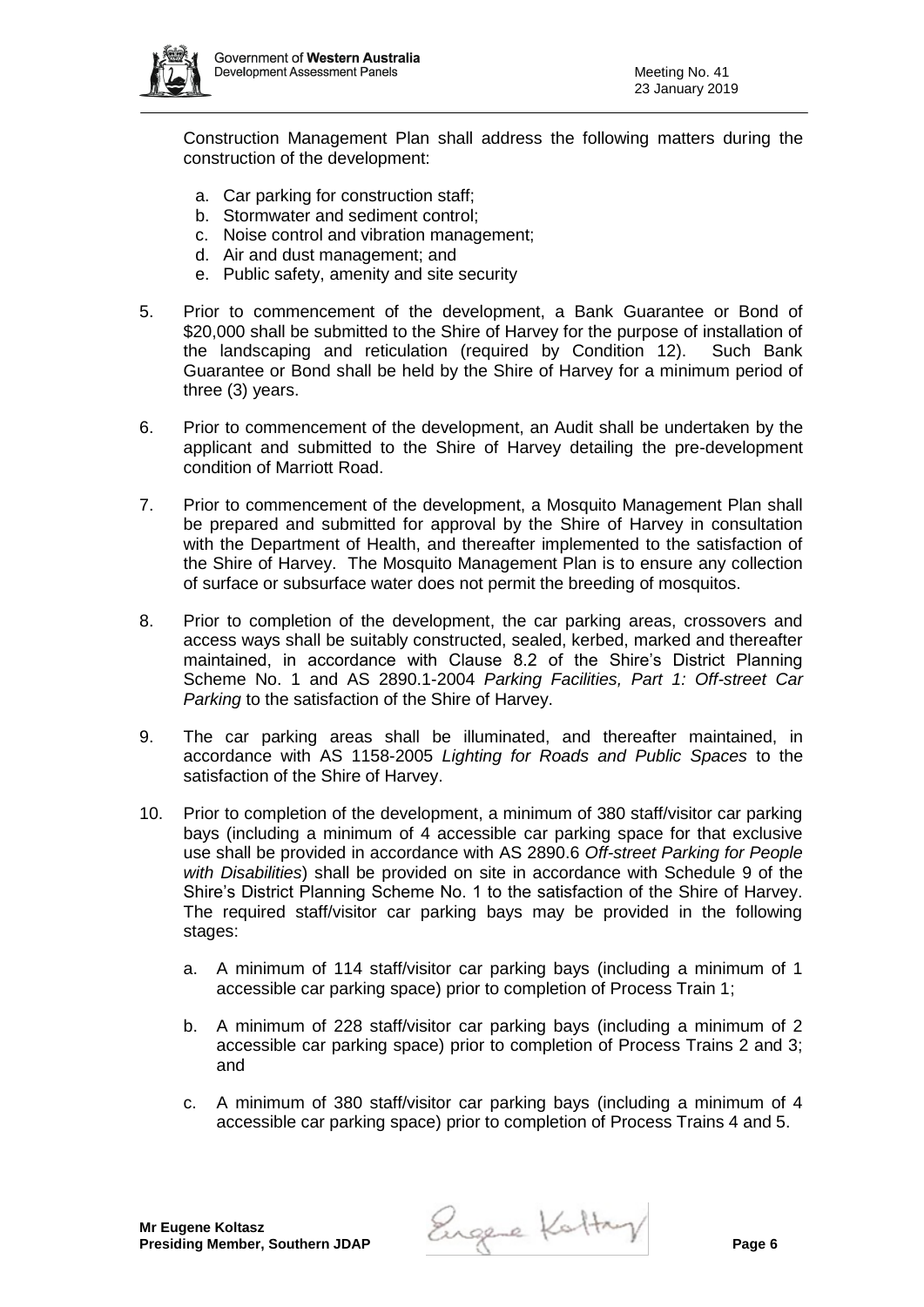

Construction Management Plan shall address the following matters during the construction of the development:

- a. Car parking for construction staff;
- b. Stormwater and sediment control;
- c. Noise control and vibration management;
- d. Air and dust management; and
- e. Public safety, amenity and site security
- 5. Prior to commencement of the development, a Bank Guarantee or Bond of \$20,000 shall be submitted to the Shire of Harvey for the purpose of installation of the landscaping and reticulation (required by Condition 12). Such Bank Guarantee or Bond shall be held by the Shire of Harvey for a minimum period of three (3) years.
- 6. Prior to commencement of the development, an Audit shall be undertaken by the applicant and submitted to the Shire of Harvey detailing the pre-development condition of Marriott Road.
- 7. Prior to commencement of the development, a Mosquito Management Plan shall be prepared and submitted for approval by the Shire of Harvey in consultation with the Department of Health, and thereafter implemented to the satisfaction of the Shire of Harvey. The Mosquito Management Plan is to ensure any collection of surface or subsurface water does not permit the breeding of mosquitos.
- 8. Prior to completion of the development, the car parking areas, crossovers and access ways shall be suitably constructed, sealed, kerbed, marked and thereafter maintained, in accordance with Clause 8.2 of the Shire's District Planning Scheme No. 1 and AS 2890.1-2004 *Parking Facilities, Part 1: Off-street Car Parking* to the satisfaction of the Shire of Harvey.
- 9. The car parking areas shall be illuminated, and thereafter maintained, in accordance with AS 1158-2005 *Lighting for Roads and Public Spaces* to the satisfaction of the Shire of Harvey.
- 10. Prior to completion of the development, a minimum of 380 staff/visitor car parking bays (including a minimum of 4 accessible car parking space for that exclusive use shall be provided in accordance with AS 2890.6 *Off-street Parking for People with Disabilities*) shall be provided on site in accordance with Schedule 9 of the Shire's District Planning Scheme No. 1 to the satisfaction of the Shire of Harvey. The required staff/visitor car parking bays may be provided in the following stages:
	- a. A minimum of 114 staff/visitor car parking bays (including a minimum of 1 accessible car parking space) prior to completion of Process Train 1;
	- b. A minimum of 228 staff/visitor car parking bays (including a minimum of 2 accessible car parking space) prior to completion of Process Trains 2 and 3; and
	- c. A minimum of 380 staff/visitor car parking bays (including a minimum of 4 accessible car parking space) prior to completion of Process Trains 4 and 5.

**Presiding Member, Southern JDAP Page 2 Page 4 Page 6 Page 6**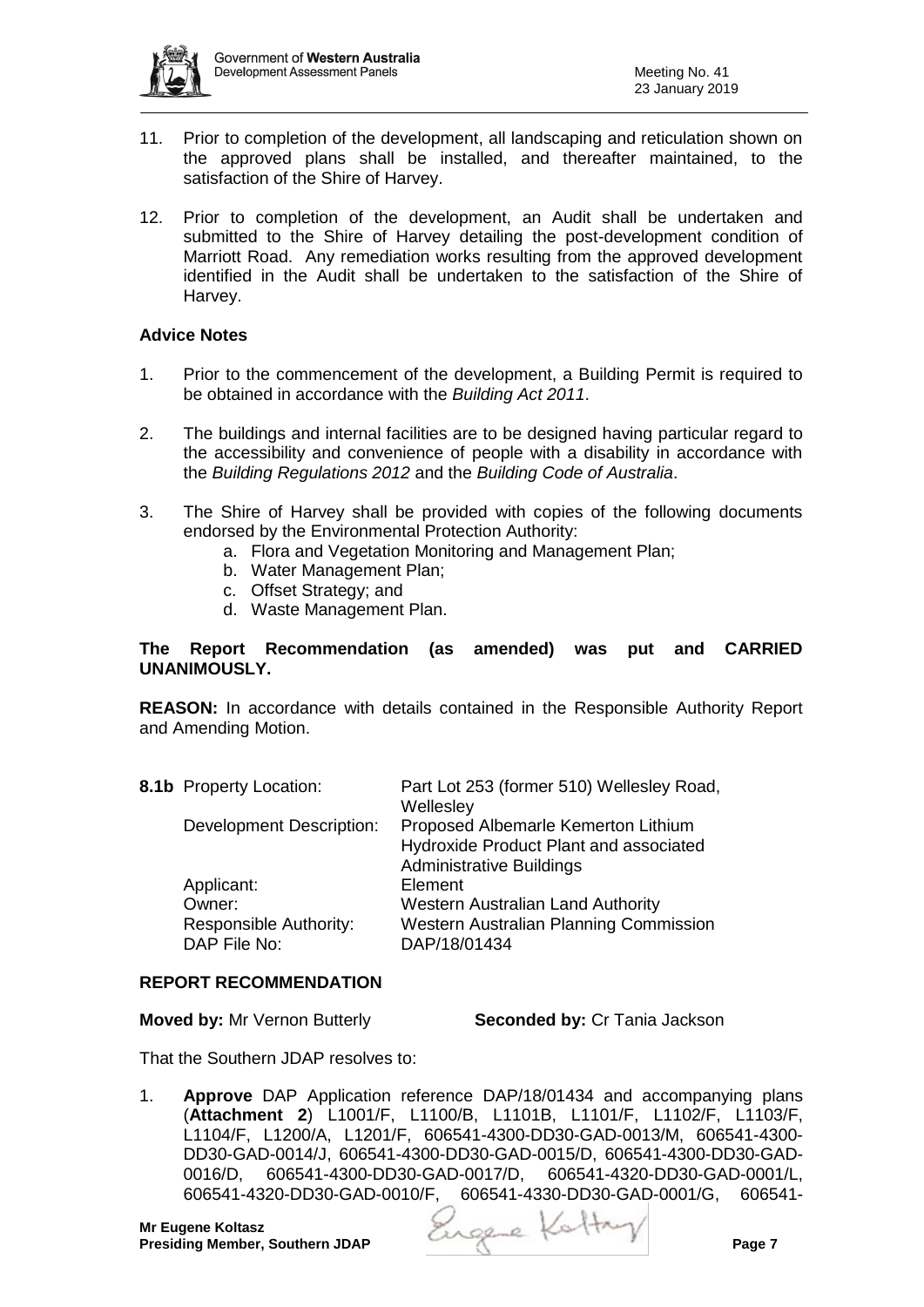

- 11. Prior to completion of the development, all landscaping and reticulation shown on the approved plans shall be installed, and thereafter maintained, to the satisfaction of the Shire of Harvey.
- 12. Prior to completion of the development, an Audit shall be undertaken and submitted to the Shire of Harvey detailing the post-development condition of Marriott Road. Any remediation works resulting from the approved development identified in the Audit shall be undertaken to the satisfaction of the Shire of Harvey.

### **Advice Notes**

- 1. Prior to the commencement of the development, a Building Permit is required to be obtained in accordance with the *Building Act 2011*.
- 2. The buildings and internal facilities are to be designed having particular regard to the accessibility and convenience of people with a disability in accordance with the *Building Regulations 2012* and the *Building Code of Australia*.
- 3. The Shire of Harvey shall be provided with copies of the following documents endorsed by the Environmental Protection Authority:
	- a. Flora and Vegetation Monitoring and Management Plan;
	- b. Water Management Plan;
	- c. Offset Strategy; and
	- d. Waste Management Plan.

### **The Report Recommendation (as amended) was put and CARRIED UNANIMOUSLY.**

**REASON:** In accordance with details contained in the Responsible Authority Report and Amending Motion.

| 8.1b Property Location:                | Part Lot 253 (former 510) Wellesley Road,<br>Wellesley                                                           |
|----------------------------------------|------------------------------------------------------------------------------------------------------------------|
| <b>Development Description:</b>        | Proposed Albemarle Kemerton Lithium<br>Hydroxide Product Plant and associated<br><b>Administrative Buildings</b> |
| Applicant:                             | Element                                                                                                          |
| Owner:                                 | <b>Western Australian Land Authority</b>                                                                         |
| Responsible Authority:<br>DAP File No: | <b>Western Australian Planning Commission</b><br>DAP/18/01434                                                    |
|                                        |                                                                                                                  |

### **REPORT RECOMMENDATION**

**Moved by:** Mr Vernon Butterly **Seconded by:** Cr Tania Jackson

That the Southern JDAP resolves to:

1. **Approve** DAP Application reference DAP/18/01434 and accompanying plans (**Attachment 2**) L1001/F, L1100/B, L1101B, L1101/F, L1102/F, L1103/F, L1104/F, L1200/A, L1201/F, 606541-4300-DD30-GAD-0013/M, 606541-4300- DD30-GAD-0014/J, 606541-4300-DD30-GAD-0015/D, 606541-4300-DD30-GAD-0016/D, 606541-4300-DD30-GAD-0017/D, 606541-4320-DD30-GAD-0001/L, 606541-4320-DD30-GAD-0010/F, 606541-4330-DD30-GAD-0001/G, 606541-

**Mr Eugene Koltasz**

**Presiding Member, Southern JDAP Page 2 Presiding Member, Southern JDAP**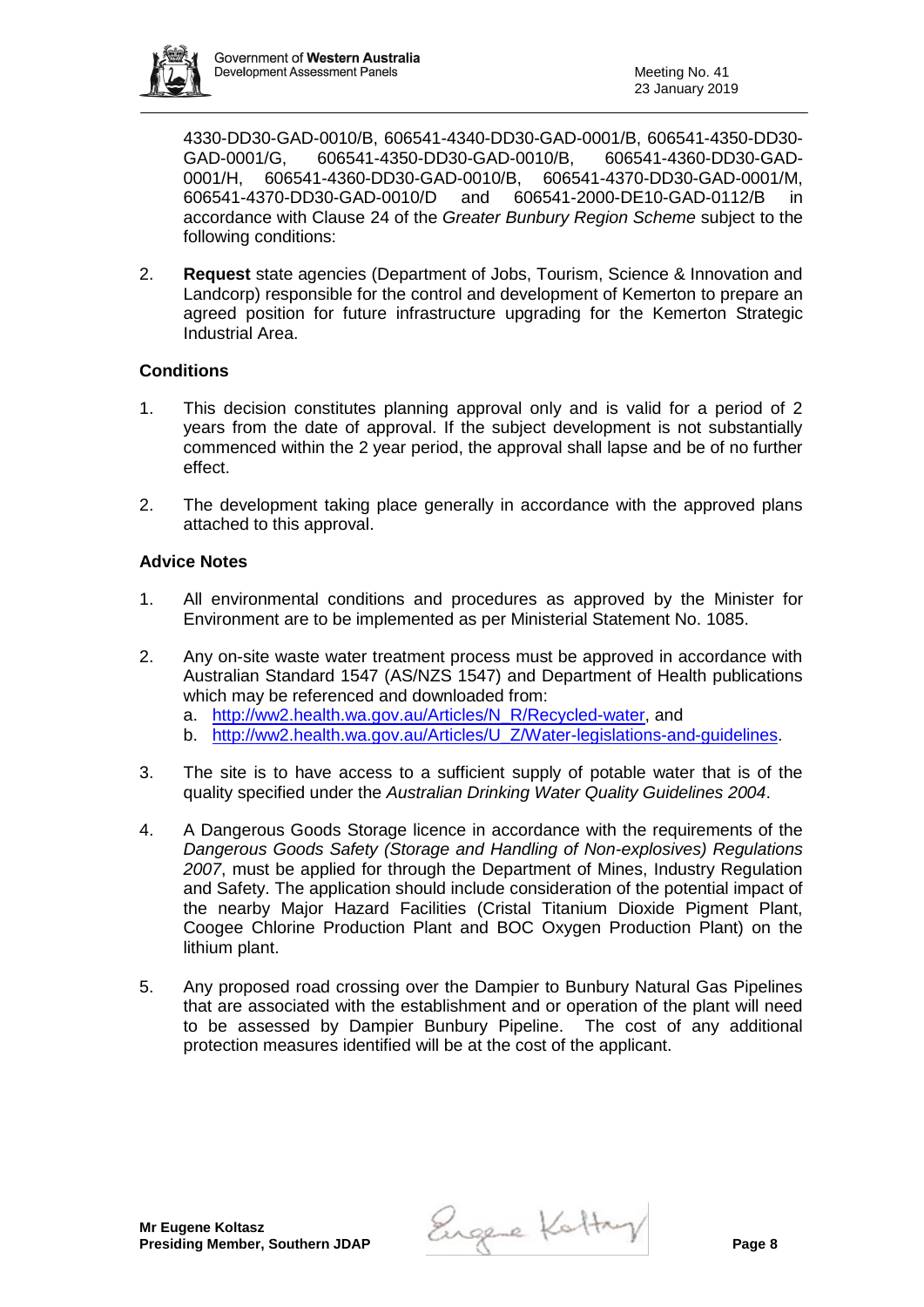

4330-DD30-GAD-0010/B, 606541-4340-DD30-GAD-0001/B, 606541-4350-DD30- GAD-0001/G, 606541-4350-DD30-GAD-0010/B, 606541-4360-DD30-GAD-0001/H, 606541-4360-DD30-GAD-0010/B, 606541-4370-DD30-GAD-0001/M, 606541-4370-DD30-GAD-0010/D and 606541-2000-DE10-GAD-0112/B in accordance with Clause 24 of the *Greater Bunbury Region Scheme* subject to the following conditions:

2. **Request** state agencies (Department of Jobs, Tourism, Science & Innovation and Landcorp) responsible for the control and development of Kemerton to prepare an agreed position for future infrastructure upgrading for the Kemerton Strategic Industrial Area.

## **Conditions**

- 1. This decision constitutes planning approval only and is valid for a period of 2 years from the date of approval. If the subject development is not substantially commenced within the 2 year period, the approval shall lapse and be of no further effect.
- 2. The development taking place generally in accordance with the approved plans attached to this approval.

## **Advice Notes**

- 1. All environmental conditions and procedures as approved by the Minister for Environment are to be implemented as per Ministerial Statement No. 1085.
- 2. Any on-site waste water treatment process must be approved in accordance with Australian Standard 1547 (AS/NZS 1547) and Department of Health publications which may be referenced and downloaded from:
	- a. [http://ww2.health.wa.gov.au/Articles/N\\_R/Recycled-water,](http://ww2.health.wa.gov.au/Articles/N_R/Recycled-water) and
	- b. [http://ww2.health.wa.gov.au/Articles/U\\_Z/Water-legislations-and-guidelines.](http://ww2.health.wa.gov.au/Articles/U_Z/Water-legislations-and-guidelines)
- 3. The site is to have access to a sufficient supply of potable water that is of the quality specified under the *Australian Drinking Water Quality Guidelines 2004*.
- 4. A Dangerous Goods Storage licence in accordance with the requirements of the *Dangerous Goods Safety (Storage and Handling of Non-explosives) Regulations 2007*, must be applied for through the Department of Mines, Industry Regulation and Safety. The application should include consideration of the potential impact of the nearby Major Hazard Facilities (Cristal Titanium Dioxide Pigment Plant, Coogee Chlorine Production Plant and BOC Oxygen Production Plant) on the lithium plant.
- 5. Any proposed road crossing over the Dampier to Bunbury Natural Gas Pipelines that are associated with the establishment and or operation of the plant will need to be assessed by Dampier Bunbury Pipeline. The cost of any additional protection measures identified will be at the cost of the applicant.

**Presiding Member, Southern JDAP Page 2 Presiding Member, Southern JDAP**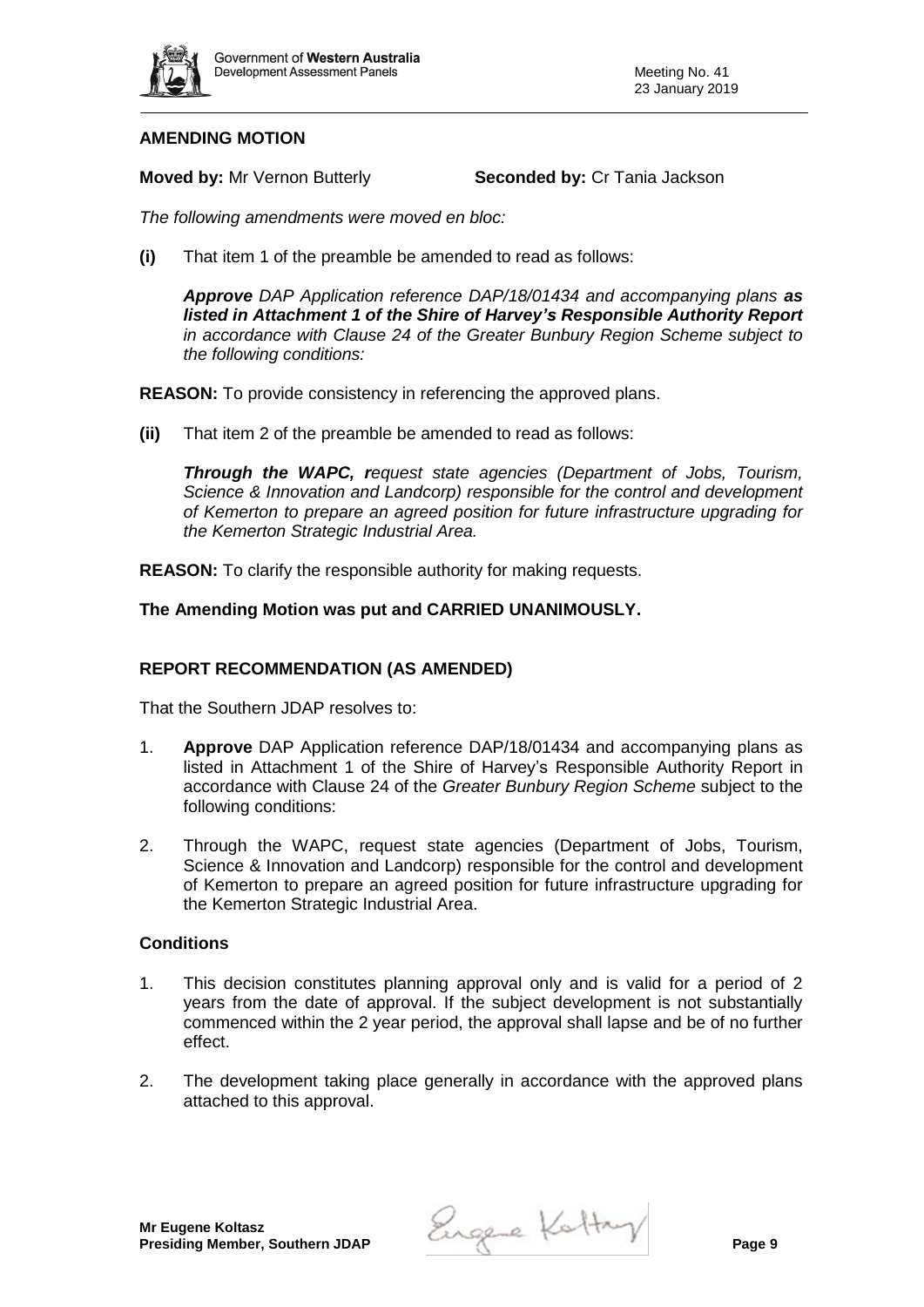

## **AMENDING MOTION**

**Moved by:** Mr Vernon Butterly **Seconded by:** Cr Tania Jackson

*The following amendments were moved en bloc:* 

**(i)** That item 1 of the preamble be amended to read as follows:

*Approve DAP Application reference DAP/18/01434 and accompanying plans as listed in Attachment 1 of the Shire of Harvey's Responsible Authority Report in accordance with Clause 24 of the Greater Bunbury Region Scheme subject to the following conditions:*

**REASON:** To provide consistency in referencing the approved plans.

**(ii)** That item 2 of the preamble be amended to read as follows:

*Through the WAPC, request state agencies (Department of Jobs, Tourism, Science & Innovation and Landcorp) responsible for the control and development of Kemerton to prepare an agreed position for future infrastructure upgrading for the Kemerton Strategic Industrial Area.*

**REASON:** To clarify the responsible authority for making requests.

**The Amending Motion was put and CARRIED UNANIMOUSLY.**

## **REPORT RECOMMENDATION (AS AMENDED)**

That the Southern JDAP resolves to:

- 1. **Approve** DAP Application reference DAP/18/01434 and accompanying plans as listed in Attachment 1 of the Shire of Harvey's Responsible Authority Report in accordance with Clause 24 of the *Greater Bunbury Region Scheme* subject to the following conditions:
- 2. Through the WAPC, request state agencies (Department of Jobs, Tourism, Science & Innovation and Landcorp) responsible for the control and development of Kemerton to prepare an agreed position for future infrastructure upgrading for the Kemerton Strategic Industrial Area.

### **Conditions**

- 1. This decision constitutes planning approval only and is valid for a period of 2 years from the date of approval. If the subject development is not substantially commenced within the 2 year period, the approval shall lapse and be of no further effect.
- 2. The development taking place generally in accordance with the approved plans attached to this approval.

**Presiding Member, Southern JDAP Page 2 Presiding Member, Southern JDAP**